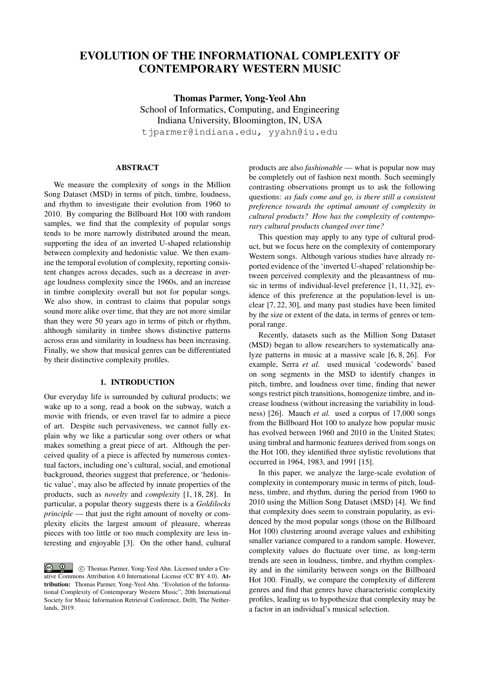# EVOLUTION OF THE INFORMATIONAL COMPLEXITY OF CONTEMPORARY WESTERN MUSIC

Thomas Parmer, Yong-Yeol Ahn School of Informatics, Computing, and Engineering Indiana University, Bloomington, IN, USA tjparmer@indiana.edu, yyahn@iu.edu

# ABSTRACT

We measure the complexity of songs in the Million Song Dataset (MSD) in terms of pitch, timbre, loudness, and rhythm to investigate their evolution from 1960 to 2010. By comparing the Billboard Hot 100 with random samples, we find that the complexity of popular songs tends to be more narrowly distributed around the mean, supporting the idea of an inverted U-shaped relationship between complexity and hedonistic value. We then examine the temporal evolution of complexity, reporting consistent changes across decades, such as a decrease in average loudness complexity since the 1960s, and an increase in timbre complexity overall but not for popular songs. We also show, in contrast to claims that popular songs sound more alike over time, that they are not more similar than they were 50 years ago in terms of pitch or rhythm, although similarity in timbre shows distinctive patterns across eras and similarity in loudness has been increasing. Finally, we show that musical genres can be differentiated by their distinctive complexity profiles.

#### 1. INTRODUCTION

Our everyday life is surrounded by cultural products; we wake up to a song, read a book on the subway, watch a movie with friends, or even travel far to admire a piece of art. Despite such pervasiveness, we cannot fully explain why we like a particular song over others or what makes something a great piece of art. Although the perceived quality of a piece is affected by numerous contextual factors, including one's cultural, social, and emotional background, theories suggest that preference, or 'hedonistic value', may also be affected by innate properties of the products, such as *novelty* and *complexity* [1, 18, 28]. In particular, a popular theory suggests there is a *Goldilocks principle* — that just the right amount of novelty or complexity elicits the largest amount of pleasure, whereas pieces with too little or too much complexity are less interesting and enjoyable [3]. On the other hand, cultural products are also *fashionable* — what is popular now may be completely out of fashion next month. Such seemingly contrasting observations prompt us to ask the following questions: *as fads come and go, is there still a consistent preference towards the optimal amount of complexity in cultural products? How has the complexity of contemporary cultural products changed over time?*

This question may apply to any type of cultural product, but we focus here on the complexity of contemporary Western songs. Although various studies have already reported evidence of the 'inverted U-shaped' relationship between perceived complexity and the pleasantness of music in terms of individual-level preference [1, 11, 32], evidence of this preference at the population-level is unclear [7, 22, 30], and many past studies have been limited by the size or extent of the data, in terms of genres or temporal range.

Recently, datasets such as the Million Song Dataset (MSD) began to allow researchers to systematically analyze patterns in music at a massive scale [6, 8, 26]. For example, Serra *et al.* used musical 'codewords' based on song segments in the MSD to identify changes in pitch, timbre, and loudness over time, finding that newer songs restrict pitch transitions, homogenize timbre, and increase loudness (without increasing the variability in loudness) [26]. Mauch *et al.* used a corpus of 17,000 songs from the Billboard Hot 100 to analyze how popular music has evolved between 1960 and 2010 in the United States; using timbral and harmonic features derived from songs on the Hot 100, they identified three stylistic revolutions that occurred in 1964, 1983, and 1991 [15].

In this paper, we analyze the large-scale evolution of complexity in contemporary music in terms of pitch, loudness, timbre, and rhythm, during the period from 1960 to 2010 using the Million Song Dataset (MSD) [4]. We find that complexity does seem to constrain popularity, as evidenced by the most popular songs (those on the Billboard Hot 100) clustering around average values and exhibiting smaller variance compared to a random sample. However, complexity values do fluctuate over time, as long-term trends are seen in loudness, timbre, and rhythm complexity and in the similarity between songs on the Billboard Hot 100. Finally, we compare the complexity of different genres and find that genres have characteristic complexity profiles, leading us to hypothesize that complexity may be a factor in an individual's musical selection.

C  $\circled{c}$  C Thomas Parmer, Yong-Yeol Ahn. Licensed under a Creative Commons Attribution 4.0 International License (CC BY 4.0). Attribution: Thomas Parmer, Yong-Yeol Ahn. "Evolution of the Informational Complexity of Contemporary Western Music", 20th International Society for Music Information Retrieval Conference, Delft, The Netherlands, 2019.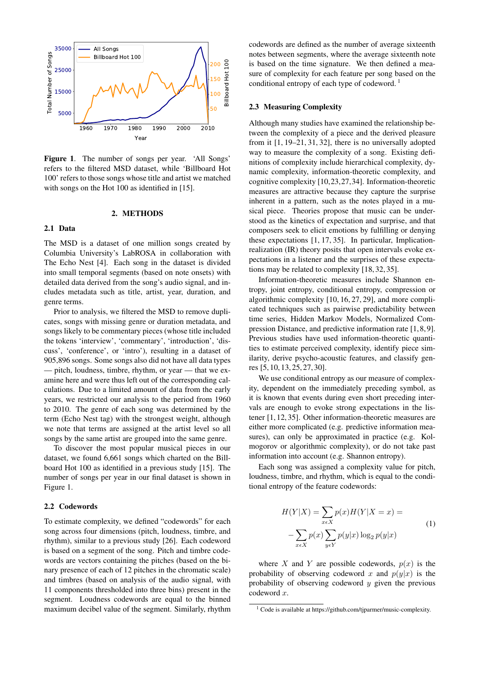

Figure 1. The number of songs per year. 'All Songs' refers to the filtered MSD dataset, while 'Billboard Hot 100' refers to those songs whose title and artist we matched with songs on the Hot 100 as identified in [15].

#### 2. METHODS

#### 2.1 Data

The MSD is a dataset of one million songs created by Columbia University's LabROSA in collaboration with The Echo Nest [4]. Each song in the dataset is divided into small temporal segments (based on note onsets) with detailed data derived from the song's audio signal, and includes metadata such as title, artist, year, duration, and genre terms.

Prior to analysis, we filtered the MSD to remove duplicates, songs with missing genre or duration metadata, and songs likely to be commentary pieces (whose title included the tokens 'interview', 'commentary', 'introduction', 'discuss', 'conference', or 'intro'), resulting in a dataset of 905,896 songs. Some songs also did not have all data types — pitch, loudness, timbre, rhythm, or year — that we examine here and were thus left out of the corresponding calculations. Due to a limited amount of data from the early years, we restricted our analysis to the period from 1960 to 2010. The genre of each song was determined by the term (Echo Nest tag) with the strongest weight, although we note that terms are assigned at the artist level so all songs by the same artist are grouped into the same genre.

To discover the most popular musical pieces in our dataset, we found 6,661 songs which charted on the Billboard Hot 100 as identified in a previous study [15]. The number of songs per year in our final dataset is shown in Figure 1.

## 2.2 Codewords

To estimate complexity, we defined "codewords" for each song across four dimensions (pitch, loudness, timbre, and rhythm), similar to a previous study [26]. Each codeword is based on a segment of the song. Pitch and timbre codewords are vectors containing the pitches (based on the binary presence of each of 12 pitches in the chromatic scale) and timbres (based on analysis of the audio signal, with 11 components thresholded into three bins) present in the segment. Loudness codewords are equal to the binned maximum decibel value of the segment. Similarly, rhythm codewords are defined as the number of average sixteenth notes between segments, where the average sixteenth note is based on the time signature. We then defined a measure of complexity for each feature per song based on the conditional entropy of each type of codeword.<sup>1</sup>

#### 2.3 Measuring Complexity

Although many studies have examined the relationship between the complexity of a piece and the derived pleasure from it [1, 19–21, 31, 32], there is no universally adopted way to measure the complexity of a song. Existing definitions of complexity include hierarchical complexity, dynamic complexity, information-theoretic complexity, and cognitive complexity [10,23,27,34]. Information-theoretic measures are attractive because they capture the surprise inherent in a pattern, such as the notes played in a musical piece. Theories propose that music can be understood as the kinetics of expectation and surprise, and that composers seek to elicit emotions by fulfilling or denying these expectations [1, 17, 35]. In particular, Implicationrealization (IR) theory posits that open intervals evoke expectations in a listener and the surprises of these expectations may be related to complexity [18, 32, 35].

Information-theoretic measures include Shannon entropy, joint entropy, conditional entropy, compression or algorithmic complexity [10, 16, 27, 29], and more complicated techniques such as pairwise predictability between time series, Hidden Markov Models, Normalized Compression Distance, and predictive information rate [1, 8, 9]. Previous studies have used information-theoretic quantities to estimate perceived complexity, identify piece similarity, derive psycho-acoustic features, and classify genres [5, 10, 13, 25, 27, 30].

We use conditional entropy as our measure of complexity, dependent on the immediately preceding symbol, as it is known that events during even short preceding intervals are enough to evoke strong expectations in the listener [1, 12, 35]. Other information-theoretic measures are either more complicated (e.g. predictive information measures), can only be approximated in practice (e.g. Kolmogorov or algorithmic complexity), or do not take past information into account (e.g. Shannon entropy).

Each song was assigned a complexity value for pitch, loudness, timbre, and rhythm, which is equal to the conditional entropy of the feature codewords:

$$
H(Y|X) = \sum_{x \in X} p(x)H(Y|X=x) =
$$
  

$$
-\sum_{x \in X} p(x) \sum_{y \in Y} p(y|x) \log_2 p(y|x)
$$
 (1)

where X and Y are possible codewords,  $p(x)$  is the probability of observing codeword x and  $p(y|x)$  is the probability of observing codeword  $y$  given the previous codeword x.

<sup>&</sup>lt;sup>1</sup> Code is available at https://github.com/tjparmer/music-complexity.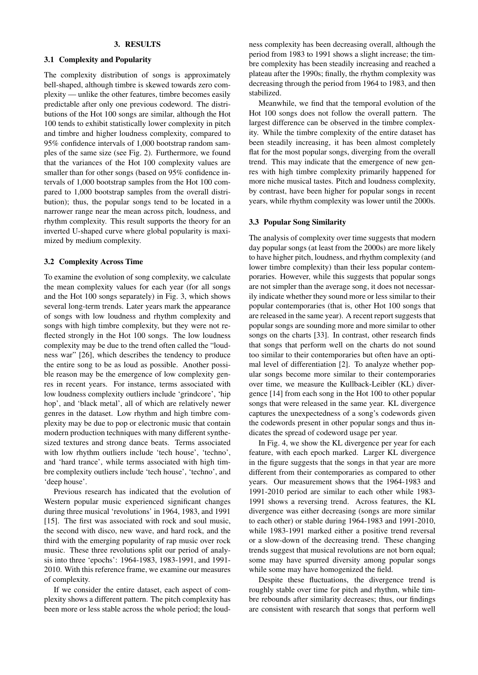#### 3. RESULTS

## 3.1 Complexity and Popularity

The complexity distribution of songs is approximately bell-shaped, although timbre is skewed towards zero complexity — unlike the other features, timbre becomes easily predictable after only one previous codeword. The distributions of the Hot 100 songs are similar, although the Hot 100 tends to exhibit statistically lower complexity in pitch and timbre and higher loudness complexity, compared to 95% confidence intervals of 1,000 bootstrap random samples of the same size (see Fig. 2). Furthermore, we found that the variances of the Hot 100 complexity values are smaller than for other songs (based on 95% confidence intervals of 1,000 bootstrap samples from the Hot 100 compared to 1,000 bootstrap samples from the overall distribution); thus, the popular songs tend to be located in a narrower range near the mean across pitch, loudness, and rhythm complexity. This result supports the theory for an inverted U-shaped curve where global popularity is maximized by medium complexity.

#### 3.2 Complexity Across Time

To examine the evolution of song complexity, we calculate the mean complexity values for each year (for all songs and the Hot 100 songs separately) in Fig. 3, which shows several long-term trends. Later years mark the appearance of songs with low loudness and rhythm complexity and songs with high timbre complexity, but they were not reflected strongly in the Hot 100 songs. The low loudness complexity may be due to the trend often called the "loudness war" [26], which describes the tendency to produce the entire song to be as loud as possible. Another possible reason may be the emergence of low complexity genres in recent years. For instance, terms associated with low loudness complexity outliers include 'grindcore', 'hip hop', and 'black metal', all of which are relatively newer genres in the dataset. Low rhythm and high timbre complexity may be due to pop or electronic music that contain modern production techniques with many different synthesized textures and strong dance beats. Terms associated with low rhythm outliers include 'tech house', 'techno', and 'hard trance', while terms associated with high timbre complexity outliers include 'tech house', 'techno', and 'deep house'.

Previous research has indicated that the evolution of Western popular music experienced significant changes during three musical 'revolutions' in 1964, 1983, and 1991 [15]. The first was associated with rock and soul music, the second with disco, new wave, and hard rock, and the third with the emerging popularity of rap music over rock music. These three revolutions split our period of analysis into three 'epochs': 1964-1983, 1983-1991, and 1991- 2010. With this reference frame, we examine our measures of complexity.

If we consider the entire dataset, each aspect of complexity shows a different pattern. The pitch complexity has been more or less stable across the whole period; the loudness complexity has been decreasing overall, although the period from 1983 to 1991 shows a slight increase; the timbre complexity has been steadily increasing and reached a plateau after the 1990s; finally, the rhythm complexity was decreasing through the period from 1964 to 1983, and then stabilized.

Meanwhile, we find that the temporal evolution of the Hot 100 songs does not follow the overall pattern. The largest difference can be observed in the timbre complexity. While the timbre complexity of the entire dataset has been steadily increasing, it has been almost completely flat for the most popular songs, diverging from the overall trend. This may indicate that the emergence of new genres with high timbre complexity primarily happened for more niche musical tastes. Pitch and loudness complexity, by contrast, have been higher for popular songs in recent years, while rhythm complexity was lower until the 2000s.

## 3.3 Popular Song Similarity

The analysis of complexity over time suggests that modern day popular songs (at least from the 2000s) are more likely to have higher pitch, loudness, and rhythm complexity (and lower timbre complexity) than their less popular contemporaries. However, while this suggests that popular songs are not simpler than the average song, it does not necessarily indicate whether they sound more or less similar to their popular contemporaries (that is, other Hot 100 songs that are released in the same year). A recent report suggests that popular songs are sounding more and more similar to other songs on the charts [33]. In contrast, other research finds that songs that perform well on the charts do not sound too similar to their contemporaries but often have an optimal level of differentiation [2]. To analyze whether popular songs become more similar to their contemporaries over time, we measure the Kullback-Leibler (KL) divergence [14] from each song in the Hot 100 to other popular songs that were released in the same year. KL divergence captures the unexpectedness of a song's codewords given the codewords present in other popular songs and thus indicates the spread of codeword usage per year.

In Fig. 4, we show the KL divergence per year for each feature, with each epoch marked. Larger KL divergence in the figure suggests that the songs in that year are more different from their contemporaries as compared to other years. Our measurement shows that the 1964-1983 and 1991-2010 period are similar to each other while 1983- 1991 shows a reversing trend. Across features, the KL divergence was either decreasing (songs are more similar to each other) or stable during 1964-1983 and 1991-2010, while 1983-1991 marked either a positive trend reversal or a slow-down of the decreasing trend. These changing trends suggest that musical revolutions are not born equal; some may have spurred diversity among popular songs while some may have homogenized the field.

Despite these fluctuations, the divergence trend is roughly stable over time for pitch and rhythm, while timbre rebounds after similarity decreases; thus, our findings are consistent with research that songs that perform well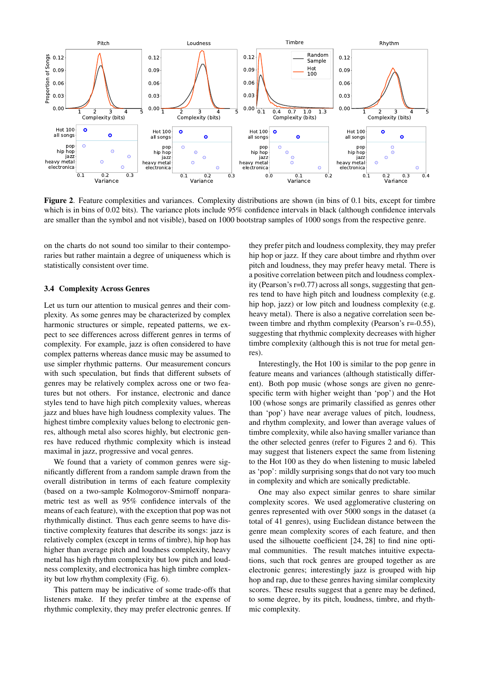

Figure 2. Feature complexities and variances. Complexity distributions are shown (in bins of 0.1 bits, except for timbre which is in bins of 0.02 bits). The variance plots include 95% confidence intervals in black (although confidence intervals are smaller than the symbol and not visible), based on 1000 bootstrap samples of 1000 songs from the respective genre.

on the charts do not sound too similar to their contemporaries but rather maintain a degree of uniqueness which is statistically consistent over time.

#### 3.4 Complexity Across Genres

Let us turn our attention to musical genres and their complexity. As some genres may be characterized by complex harmonic structures or simple, repeated patterns, we expect to see differences across different genres in terms of complexity. For example, jazz is often considered to have complex patterns whereas dance music may be assumed to use simpler rhythmic patterns. Our measurement concurs with such speculation, but finds that different subsets of genres may be relatively complex across one or two features but not others. For instance, electronic and dance styles tend to have high pitch complexity values, whereas jazz and blues have high loudness complexity values. The highest timbre complexity values belong to electronic genres, although metal also scores highly, but electronic genres have reduced rhythmic complexity which is instead maximal in jazz, progressive and vocal genres.

We found that a variety of common genres were significantly different from a random sample drawn from the overall distribution in terms of each feature complexity (based on a two-sample Kolmogorov-Smirnoff nonparametric test as well as 95% confidence intervals of the means of each feature), with the exception that pop was not rhythmically distinct. Thus each genre seems to have distinctive complexity features that describe its songs: jazz is relatively complex (except in terms of timbre), hip hop has higher than average pitch and loudness complexity, heavy metal has high rhythm complexity but low pitch and loudness complexity, and electronica has high timbre complexity but low rhythm complexity (Fig. 6).

This pattern may be indicative of some trade-offs that listeners make. If they prefer timbre at the expense of rhythmic complexity, they may prefer electronic genres. If they prefer pitch and loudness complexity, they may prefer hip hop or jazz. If they care about timbre and rhythm over pitch and loudness, they may prefer heavy metal. There is a positive correlation between pitch and loudness complexity (Pearson's r=0.77) across all songs, suggesting that genres tend to have high pitch and loudness complexity (e.g. hip hop, jazz) or low pitch and loudness complexity (e.g. heavy metal). There is also a negative correlation seen between timbre and rhythm complexity (Pearson's r=-0.55), suggesting that rhythmic complexity decreases with higher timbre complexity (although this is not true for metal genres).

Interestingly, the Hot 100 is similar to the pop genre in feature means and variances (although statistically different). Both pop music (whose songs are given no genrespecific term with higher weight than 'pop') and the Hot 100 (whose songs are primarily classified as genres other than 'pop') have near average values of pitch, loudness, and rhythm complexity, and lower than average values of timbre complexity, while also having smaller variance than the other selected genres (refer to Figures 2 and 6). This may suggest that listeners expect the same from listening to the Hot 100 as they do when listening to music labeled as 'pop': mildly surprising songs that do not vary too much in complexity and which are sonically predictable.

One may also expect similar genres to share similar complexity scores. We used agglomerative clustering on genres represented with over 5000 songs in the dataset (a total of 41 genres), using Euclidean distance between the genre mean complexity scores of each feature, and then used the silhouette coefficient [24, 28] to find nine optimal communities. The result matches intuitive expectations, such that rock genres are grouped together as are electronic genres; interestingly jazz is grouped with hip hop and rap, due to these genres having similar complexity scores. These results suggest that a genre may be defined, to some degree, by its pitch, loudness, timbre, and rhythmic complexity.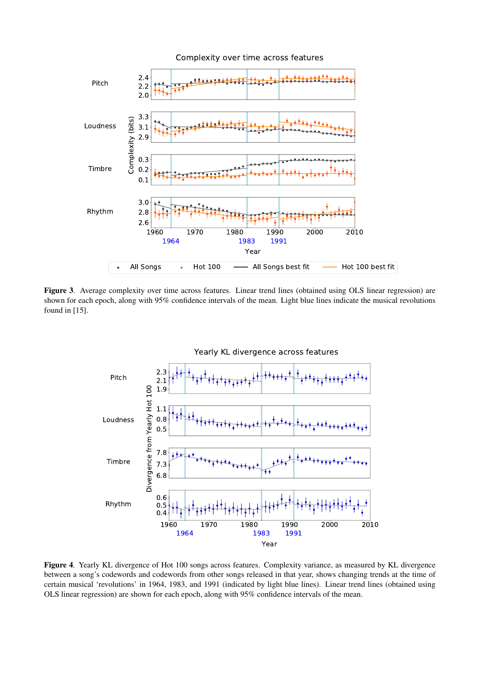

Figure 3. Average complexity over time across features. Linear trend lines (obtained using OLS linear regression) are shown for each epoch, along with 95% confidence intervals of the mean. Light blue lines indicate the musical revolutions found in [15].



Figure 4. Yearly KL divergence of Hot 100 songs across features. Complexity variance, as measured by KL divergence between a song's codewords and codewords from other songs released in that year, shows changing trends at the time of certain musical 'revolutions' in 1964, 1983, and 1991 (indicated by light blue lines). Linear trend lines (obtained using OLS linear regression) are shown for each epoch, along with 95% confidence intervals of the mean.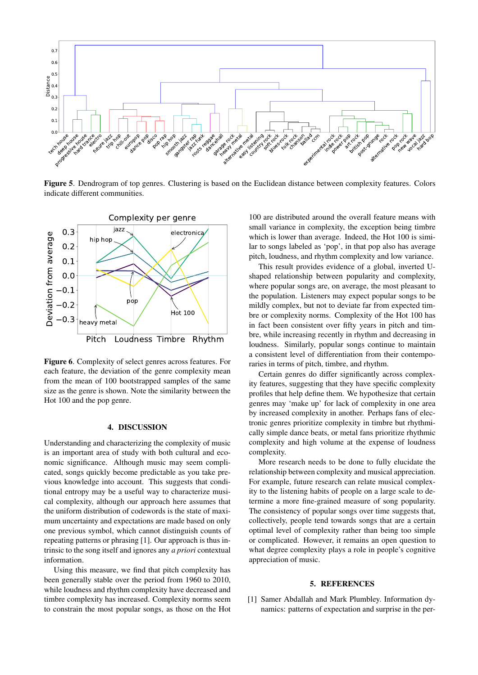

Figure 5. Dendrogram of top genres. Clustering is based on the Euclidean distance between complexity features. Colors indicate different communities.



Figure 6. Complexity of select genres across features. For each feature, the deviation of the genre complexity mean from the mean of 100 bootstrapped samples of the same size as the genre is shown. Note the similarity between the Hot 100 and the pop genre.

## 4. DISCUSSION

Understanding and characterizing the complexity of music is an important area of study with both cultural and economic significance. Although music may seem complicated, songs quickly become predictable as you take previous knowledge into account. This suggests that conditional entropy may be a useful way to characterize musical complexity, although our approach here assumes that the uniform distribution of codewords is the state of maximum uncertainty and expectations are made based on only one previous symbol, which cannot distinguish counts of repeating patterns or phrasing [1]. Our approach is thus intrinsic to the song itself and ignores any *a priori* contextual information.

Using this measure, we find that pitch complexity has been generally stable over the period from 1960 to 2010, while loudness and rhythm complexity have decreased and timbre complexity has increased. Complexity norms seem to constrain the most popular songs, as those on the Hot

100 are distributed around the overall feature means with small variance in complexity, the exception being timbre which is lower than average. Indeed, the Hot 100 is similar to songs labeled as 'pop', in that pop also has average pitch, loudness, and rhythm complexity and low variance.

This result provides evidence of a global, inverted Ushaped relationship between popularity and complexity, where popular songs are, on average, the most pleasant to the population. Listeners may expect popular songs to be mildly complex, but not to deviate far from expected timbre or complexity norms. Complexity of the Hot 100 has in fact been consistent over fifty years in pitch and timbre, while increasing recently in rhythm and decreasing in loudness. Similarly, popular songs continue to maintain a consistent level of differentiation from their contemporaries in terms of pitch, timbre, and rhythm.

Certain genres do differ significantly across complexity features, suggesting that they have specific complexity profiles that help define them. We hypothesize that certain genres may 'make up' for lack of complexity in one area by increased complexity in another. Perhaps fans of electronic genres prioritize complexity in timbre but rhythmically simple dance beats, or metal fans prioritize rhythmic complexity and high volume at the expense of loudness complexity.

More research needs to be done to fully elucidate the relationship between complexity and musical appreciation. For example, future research can relate musical complexity to the listening habits of people on a large scale to determine a more fine-grained measure of song popularity. The consistency of popular songs over time suggests that, collectively, people tend towards songs that are a certain optimal level of complexity rather than being too simple or complicated. However, it remains an open question to what degree complexity plays a role in people's cognitive appreciation of music.

# 5. REFERENCES

[1] Samer Abdallah and Mark Plumbley. Information dynamics: patterns of expectation and surprise in the per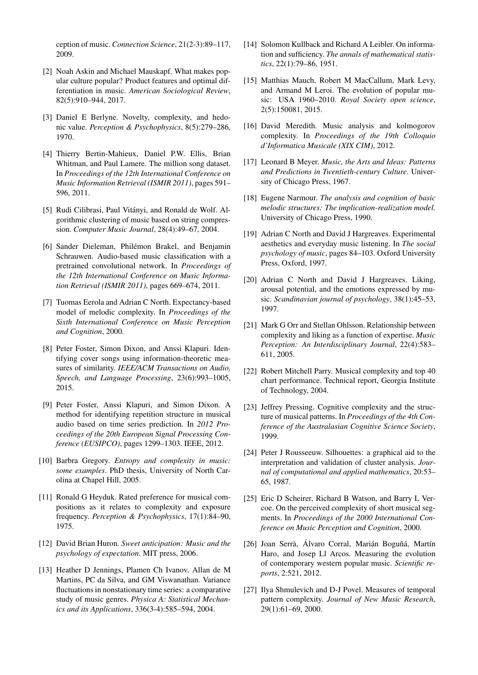ception of music. *Connection Science*, 21(2-3):89–117, 2009.

- [2] Noah Askin and Michael Mauskapf. What makes popular culture popular? Product features and optimal differentiation in music. *American Sociological Review*, 82(5):910–944, 2017.
- [3] Daniel E Berlyne. Novelty, complexity, and hedonic value. *Perception & Psychophysics*, 8(5):279–286, 1970.
- [4] Thierry Bertin-Mahieux, Daniel P.W. Ellis, Brian Whitman, and Paul Lamere. The million song dataset. In *Proceedings of the 12th International Conference on Music Information Retrieval (ISMIR 2011)*, pages 591– 596, 2011.
- [5] Rudi Cilibrasi, Paul Vitányi, and Ronald de Wolf. Algorithmic clustering of music based on string compression. *Computer Music Journal*, 28(4):49–67, 2004.
- [6] Sander Dieleman, Philémon Brakel, and Benjamin Schrauwen. Audio-based music classification with a pretrained convolutional network. In *Proceedings of the 12th International Conference on Music Information Retrieval (ISMIR 2011)*, pages 669–674, 2011.
- [7] Tuomas Eerola and Adrian C North. Expectancy-based model of melodic complexity. In *Proceedings of the Sixth International Conference on Music Perception and Cognition*, 2000.
- [8] Peter Foster, Simon Dixon, and Anssi Klapuri. Identifying cover songs using information-theoretic measures of similarity. *IEEE/ACM Transactions on Audio, Speech, and Language Processing*, 23(6):993–1005, 2015.
- [9] Peter Foster, Anssi Klapuri, and Simon Dixon. A method for identifying repetition structure in musical audio based on time series prediction. In *2012 Proceedings of the 20th European Signal Processing Conference (EUSIPCO)*, pages 1299–1303. IEEE, 2012.
- [10] Barbra Gregory. *Entropy and complexity in music: some examples*. PhD thesis, University of North Carolina at Chapel Hill, 2005.
- [11] Ronald G Heyduk. Rated preference for musical compositions as it relates to complexity and exposure frequency. *Perception & Psychophysics*, 17(1):84–90, 1975.
- [12] David Brian Huron. *Sweet anticipation: Music and the psychology of expectation*. MIT press, 2006.
- [13] Heather D Jennings, Plamen Ch Ivanov, Allan de M Martins, PC da Silva, and GM Viswanathan. Variance fluctuations in nonstationary time series: a comparative study of music genres. *Physica A: Statistical Mechanics and its Applications*, 336(3-4):585–594, 2004.
- [14] Solomon Kullback and Richard A Leibler. On information and sufficiency. *The annals of mathematical statistics*, 22(1):79–86, 1951.
- [15] Matthias Mauch, Robert M MacCallum, Mark Levy, and Armand M Leroi. The evolution of popular music: USA 1960–2010. *Royal Society open science*, 2(5):150081, 2015.
- [16] David Meredith. Music analysis and kolmogorov complexity. In *Proceedings of the 19th Colloquio d'Informatica Musicale (XIX CIM)*, 2012.
- [17] Leonard B Meyer. *Music, the Arts and Ideas: Patterns and Predictions in Twentieth-century Culture*. University of Chicago Press, 1967.
- [18] Eugene Narmour. *The analysis and cognition of basic melodic structures: The implication-realization model.* University of Chicago Press, 1990.
- [19] Adrian C North and David J Hargreaves. Experimental aesthetics and everyday music listening. In *The social psychology of music*, pages 84–103. Oxford University Press, Oxford, 1997.
- [20] Adrian C North and David J Hargreaves. Liking, arousal potential, and the emotions expressed by music. *Scandinavian journal of psychology*, 38(1):45–53, 1997.
- [21] Mark G Orr and Stellan Ohlsson. Relationship between complexity and liking as a function of expertise. *Music Perception: An Interdisciplinary Journal*, 22(4):583– 611, 2005.
- [22] Robert Mitchell Parry. Musical complexity and top 40 chart performance. Technical report, Georgia Institute of Technology, 2004.
- [23] Jeffrey Pressing. Cognitive complexity and the structure of musical patterns. In *Proceedings of the 4th Conference of the Australasian Cognitive Science Society*, 1999.
- [24] Peter J Rousseeuw. Silhouettes: a graphical aid to the interpretation and validation of cluster analysis. *Journal of computational and applied mathematics*, 20:53– 65, 1987.
- [25] Eric D Scheirer, Richard B Watson, and Barry L Vercoe. On the perceived complexity of short musical segments. In *Proceedings of the 2000 International Conference on Music Perception and Cognition*, 2000.
- [26] Joan Serrà, Álvaro Corral, Marián Boguñá, Martín Haro, and Josep Ll Arcos. Measuring the evolution of contemporary western popular music. *Scientific reports*, 2:521, 2012.
- [27] Ilya Shmulevich and D-J Povel. Measures of temporal pattern complexity. *Journal of New Music Research*, 29(1):61–69, 2000.